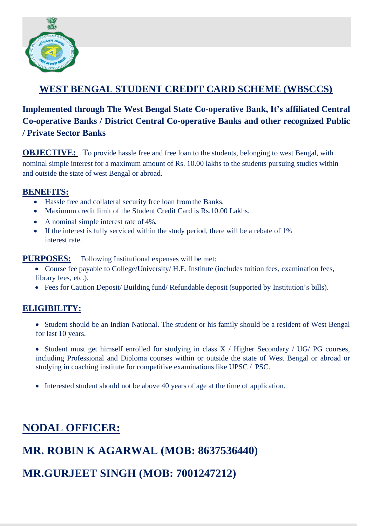

### **WEST BENGAL STUDENT CREDIT CARD SCHEME (WBSCCS)**

### **Implemented through The West Bengal State Co-operative Bank, It's affiliated Central Co-operative Banks / District Central Co-operative Banks and other recognized Public / Private Sector Banks**

**OBJECTIVE:** To provide hassle free and free loan to the students, belonging to west Bengal, with nominal simple interest for a maximum amount of Rs. 10.00 lakhs to the students pursuing studies within and outside the state of west Bengal or abroad.

#### **BENEFITS:**

- Hassle free and collateral security free loan fromthe Banks.
- Maximum credit limit of the Student Credit Card is Rs. 10.00 Lakhs.
- A nominal simple interest rate of 4%.
- If the interest is fully serviced within the study period, there will be a rebate of 1% interest rate.

**PURPOSES:** Following Institutional expenses will be met:

- Course fee payable to College/University/ H.E. Institute (includes tuition fees, examination fees, library fees, etc.).
- Fees for Caution Deposit/ Building fund/ Refundable deposit (supported by Institution's bills).

#### **ELIGIBILITY:**

- Student should be an Indian National. The student or his family should be a resident of West Bengal for last 10 years.
- Student must get himself enrolled for studying in class X / Higher Secondary / UG/ PG courses, including Professional and Diploma courses within or outside the state of West Bengal or abroad or studying in coaching institute for competitive examinations like UPSC / PSC.
- Interested student should not be above 40 years of age at the time of application.

# **NODAL OFFICER:**

## **MR. ROBIN K AGARWAL (MOB: 8637536440)**

## **MR.GURJEET SINGH (MOB: 7001247212)**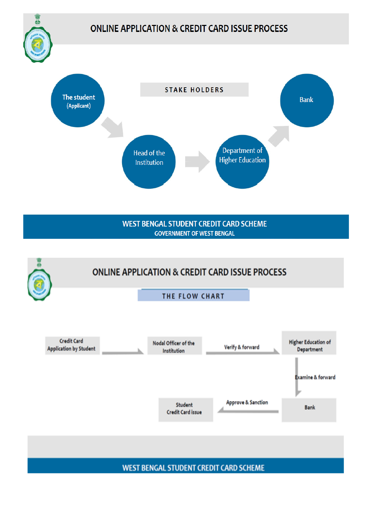

**WEST BENGAL STUDENT CREDIT CARD SCHEME**